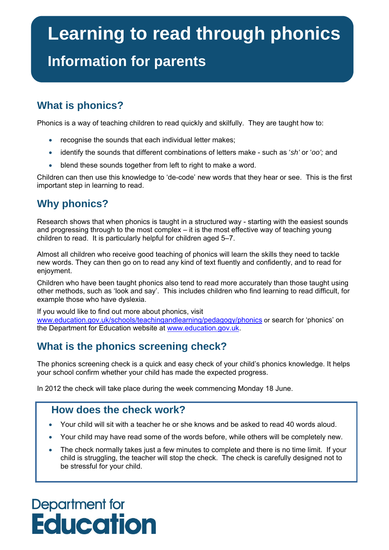# **Learning to read through phonics**

### **Information for parents**

### **What is phonics?**

Phonics is a way of teaching children to read quickly and skilfully. They are taught how to:

- recognise the sounds that each individual letter makes;
- identify the sounds that different combinations of letters make such as '*sh'* or '*oo';* and
- blend these sounds together from left to right to make a word.

Children can then use this knowledge to 'de-code' new words that they hear or see. This is the first important step in learning to read.

### **Why phonics?**

Research shows that when phonics is taught in a structured way - starting with the easiest sounds and progressing through to the most complex – it is the most effective way of teaching young children to read. It is particularly helpful for children aged 5–7.

Almost all children who receive good teaching of phonics will learn the skills they need to tackle new words. They can then go on to read any kind of text fluently and confidently, and to read for enjoyment.

Children who have been taught phonics also tend to read more accurately than those taught using other methods, such as 'look and say'. This includes children who find learning to read difficult, for example those who have dyslexia.

If you would like to find out more about phonics, visit [www.education.gov.uk/schools/teachingandlearning/pedagogy/phonics](http://www.education.gov.uk/schools/teachingandlearning/pedagogy/phonics) or search for 'phonics' on the Department for Education website at [www.education.gov.uk](http://www.education.gov.uk/).

### **What is the phonics screening check?**

The phonics screening check is a quick and easy check of your child's phonics knowledge. It helps your school confirm whether your child has made the expected progress.

In 2012 the check will take place during the week commencing Monday 18 June.

### **How does the check work?**

- Your child will sit with a teacher he or she knows and be asked to read 40 words aloud.
- Your child may have read some of the words before, while others will be completely new.
- The check normally takes just a few minutes to complete and there is no time limit. If your child is struggling, the teacher will stop the check. The check is carefully designed not to be stressful for your child.

## Department for **Education**